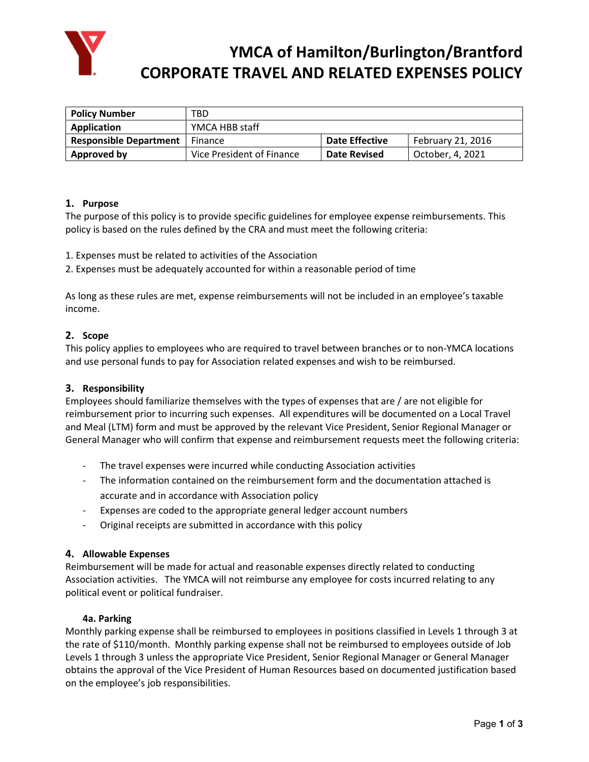

# YMCA of Hamilton/Burlington/Brantford CORPORATE TRAVEL AND RELATED EXPENSES POLICY

| <b>Policy Number</b>          | TBD                       |                     |                   |
|-------------------------------|---------------------------|---------------------|-------------------|
| Application                   | YMCA HBB staff            |                     |                   |
| <b>Responsible Department</b> | Finance                   | Date Effective      | February 21, 2016 |
| Approved by                   | Vice President of Finance | <b>Date Revised</b> | October, 4, 2021  |

# 1. Purpose

The purpose of this policy is to provide specific guidelines for employee expense reimbursements. This policy is based on the rules defined by the CRA and must meet the following criteria:

1. Expenses must be related to activities of the Association

2. Expenses must be adequately accounted for within a reasonable period of time

As long as these rules are met, expense reimbursements will not be included in an employee's taxable income.

## 2. Scope

This policy applies to employees who are required to travel between branches or to non-YMCA locations and use personal funds to pay for Association related expenses and wish to be reimbursed.

# 3. Responsibility

Employees should familiarize themselves with the types of expenses that are / are not eligible for reimbursement prior to incurring such expenses. All expenditures will be documented on a Local Travel and Meal (LTM) form and must be approved by the relevant Vice President, Senior Regional Manager or General Manager who will confirm that expense and reimbursement requests meet the following criteria:

- The travel expenses were incurred while conducting Association activities
- The information contained on the reimbursement form and the documentation attached is accurate and in accordance with Association policy
- Expenses are coded to the appropriate general ledger account numbers
- Original receipts are submitted in accordance with this policy

#### 4. Allowable Expenses

Reimbursement will be made for actual and reasonable expenses directly related to conducting Association activities. The YMCA will not reimburse any employee for costs incurred relating to any political event or political fundraiser.

#### 4a. Parking

Monthly parking expense shall be reimbursed to employees in positions classified in Levels 1 through 3 at the rate of \$110/month. Monthly parking expense shall not be reimbursed to employees outside of Job Levels 1 through 3 unless the appropriate Vice President, Senior Regional Manager or General Manager obtains the approval of the Vice President of Human Resources based on documented justification based on the employee's job responsibilities.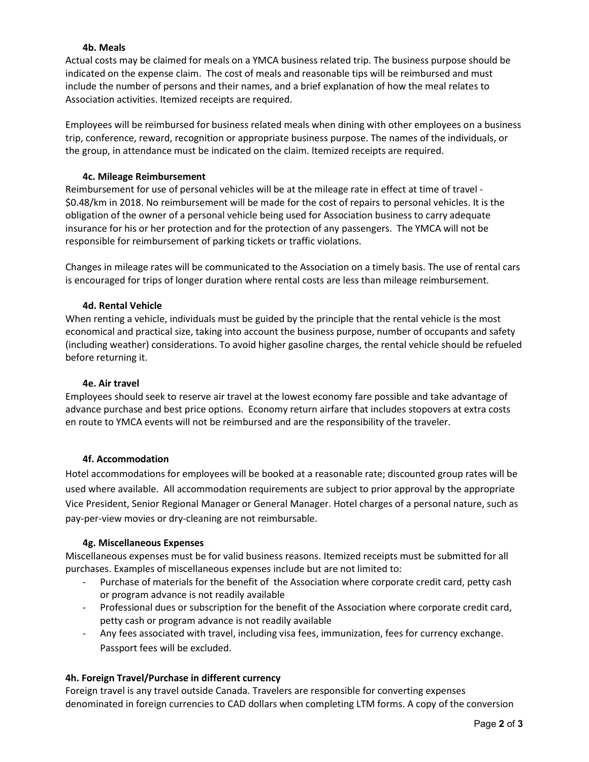## 4b. Meals

Actual costs may be claimed for meals on a YMCA business related trip. The business purpose should be indicated on the expense claim. The cost of meals and reasonable tips will be reimbursed and must include the number of persons and their names, and a brief explanation of how the meal relates to Association activities. Itemized receipts are required.

Employees will be reimbursed for business related meals when dining with other employees on a business trip, conference, reward, recognition or appropriate business purpose. The names of the individuals, or the group, in attendance must be indicated on the claim. Itemized receipts are required.

## 4c. Mileage Reimbursement

Reimbursement for use of personal vehicles will be at the mileage rate in effect at time of travel - \$0.48/km in 2018. No reimbursement will be made for the cost of repairs to personal vehicles. It is the obligation of the owner of a personal vehicle being used for Association business to carry adequate insurance for his or her protection and for the protection of any passengers. The YMCA will not be responsible for reimbursement of parking tickets or traffic violations.

Changes in mileage rates will be communicated to the Association on a timely basis. The use of rental cars is encouraged for trips of longer duration where rental costs are less than mileage reimbursement.

## 4d. Rental Vehicle

When renting a vehicle, individuals must be guided by the principle that the rental vehicle is the most economical and practical size, taking into account the business purpose, number of occupants and safety (including weather) considerations. To avoid higher gasoline charges, the rental vehicle should be refueled before returning it.

### 4e. Air travel

Employees should seek to reserve air travel at the lowest economy fare possible and take advantage of advance purchase and best price options. Economy return airfare that includes stopovers at extra costs en route to YMCA events will not be reimbursed and are the responsibility of the traveler.

#### 4f. Accommodation

Hotel accommodations for employees will be booked at a reasonable rate; discounted group rates will be used where available. All accommodation requirements are subject to prior approval by the appropriate Vice President, Senior Regional Manager or General Manager. Hotel charges of a personal nature, such as pay-per-view movies or dry-cleaning are not reimbursable.

#### 4g. Miscellaneous Expenses

Miscellaneous expenses must be for valid business reasons. Itemized receipts must be submitted for all purchases. Examples of miscellaneous expenses include but are not limited to:

- Purchase of materials for the benefit of the Association where corporate credit card, petty cash or program advance is not readily available
- Professional dues or subscription for the benefit of the Association where corporate credit card, petty cash or program advance is not readily available
- Any fees associated with travel, including visa fees, immunization, fees for currency exchange. Passport fees will be excluded.

# 4h. Foreign Travel/Purchase in different currency

Foreign travel is any travel outside Canada. Travelers are responsible for converting expenses denominated in foreign currencies to CAD dollars when completing LTM forms. A copy of the conversion